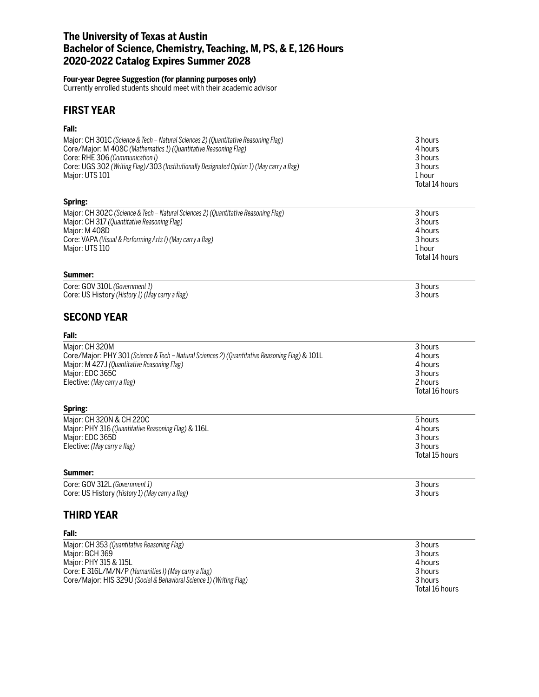# **The University of Texas at Austin Bachelor of Science, Chemistry, Teaching, M, PS, & E, 126 Hours 2020-2022 Catalog Expires Summer 2028**

#### **Four-year Degree Suggestion (for planning purposes only)**

Currently enrolled students should meet with their academic advisor

# **FIRST YEAR**

## **Fall:**

| Major: CH 301C (Science & Tech - Natural Sciences 2) (Quantitative Reasoning Flag)             | 3 hours        |
|------------------------------------------------------------------------------------------------|----------------|
| Core/Major: M 408C (Mathematics 1) (Quantitative Reasoning Flag)                               | 4 hours        |
| Core: RHE 306 (Communication I)                                                                | 3 hours        |
| Core: UGS 302 (Writing Flag)/303 (Institutionally Designated Option 1) (May carry a flag)      | 3 hours        |
| Major: UTS 101                                                                                 | 1 hour         |
|                                                                                                | Total 14 hours |
|                                                                                                |                |
| Spring:                                                                                        |                |
| Major: CH 302C (Science & Tech - Natural Sciences 2) (Quantitative Reasoning Flag)             | 3 hours        |
| Major: CH 317 (Quantitative Reasoning Flag)                                                    | 3 hours        |
| Major: M 408D                                                                                  | 4 hours        |
| Core: VAPA (Visual & Performing Arts I) (May carry a flag)                                     | 3 hours        |
| Major: UTS 110                                                                                 | 1 hour         |
|                                                                                                | Total 14 hours |
| Summer:                                                                                        |                |
| Core: GOV 310L (Government 1)                                                                  | 3 hours        |
| Core: US History (History 1) (May carry a flag)                                                | 3 hours        |
|                                                                                                |                |
| <b>SECOND YEAR</b>                                                                             |                |
| Fall:                                                                                          |                |
| Maior: CH 320M                                                                                 | 3 hours        |
| Core/Major: PHY 301 (Science & Tech - Natural Sciences 2) (Quantitative Reasoning Flag) & 101L | 4 hours        |
| Major: M 427J (Quantitative Reasoning Flag)                                                    | 4 hours        |
| Major: EDC 365C                                                                                | 3 hours        |
| Elective: (May carry a flag)                                                                   | 2 hours        |
|                                                                                                | Total 16 hours |
| Spring:                                                                                        |                |
| Major: CH 320N & CH 220C                                                                       | 5 hours        |
| Major: PHY 316 (Quantitative Reasoning Flag) & 116L                                            | 4 hours        |
| Major: EDC 365D                                                                                | 3 hours        |
| Elective: (May carry a flag)                                                                   | 3 hours        |
|                                                                                                | Total 15 hours |
|                                                                                                |                |
| Summer:                                                                                        |                |
| Core: GOV 312L (Government 1)                                                                  | 3 hours        |
| Core: US History (History 1) (May carry a flag)                                                | 3 hours        |
| THIRD YEAR                                                                                     |                |
| Fall:                                                                                          |                |
| Major: CH 353 (Quantitative Reasoning Flag)                                                    | 3 hours        |
| Maior: BCH 369                                                                                 | 3 hours        |
| Major: PHY 315 & 115L                                                                          | 4 hours        |

Core: E 316L/M/N/P *(Humanities I) (May carry a flag)* 3 hours Core/Major: HIS 329U *(Social & Behavioral Science 1) (Writing Flag)* 3 hours

Total 16 hours